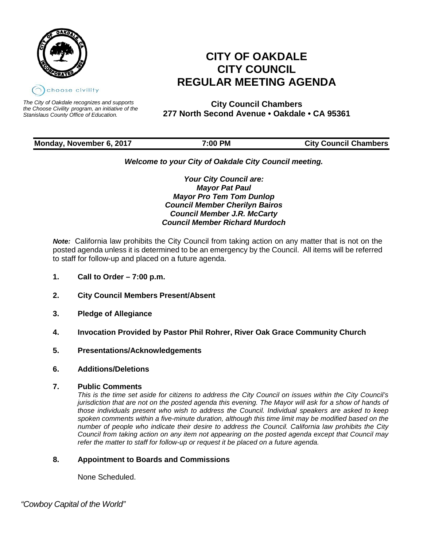

*The City of Oakdale recognizes and supports the Choose Civility program, an initiative of the Stanislaus County Office of Education.*

# **CITY OF OAKDALE CITY COUNCIL REGULAR MEETING AGENDA**

**City Council Chambers 277 North Second Avenue • Oakdale • CA 95361**

# **Monday, November 6, 2017 7:00 PM City Council Chambers**

# *Welcome to your City of Oakdale City Council meeting.*

*Your City Council are: Mayor Pat Paul Mayor Pro Tem Tom Dunlop Council Member Cherilyn Bairos Council Member J.R. McCarty Council Member Richard Murdoch*

*Note:* California law prohibits the City Council from taking action on any matter that is not on the posted agenda unless it is determined to be an emergency by the Council. All items will be referred to staff for follow-up and placed on a future agenda.

- **1. Call to Order – 7:00 p.m.**
- **2. City Council Members Present/Absent**
- **3. Pledge of Allegiance**
- **4. Invocation Provided by Pastor Phil Rohrer, River Oak Grace Community Church**
- **5. Presentations/Acknowledgements**
- **6. Additions/Deletions**
- **7. Public Comments**

*This is the time set aside for citizens to address the City Council on issues within the City Council's jurisdiction that are not on the posted agenda this evening. The Mayor will ask for a show of hands of those individuals present who wish to address the Council. Individual speakers are asked to keep spoken comments within a five-minute duration, although this time limit may be modified based on the number of people who indicate their desire to address the Council. California law prohibits the City Council from taking action on any item not appearing on the posted agenda except that Council may refer the matter to staff for follow-up or request it be placed on a future agenda.*

# **8. Appointment to Boards and Commissions**

None Scheduled.

 *"Cowboy Capital of the World"*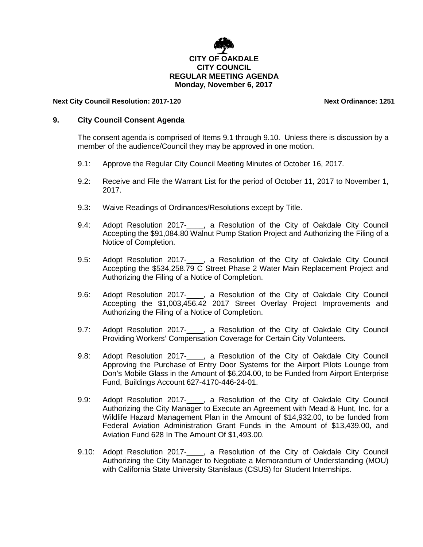# **CITY OF OAKDALE CITY COUNCIL REGULAR MEETING AGENDA Monday, November 6, 2017**

#### **Next City Council Resolution: 2017-120 Next Ordinance: 1251**

#### **9. City Council Consent Agenda**

The consent agenda is comprised of Items 9.1 through 9.10. Unless there is discussion by a member of the audience/Council they may be approved in one motion.

- 9.1: Approve the Regular City Council Meeting Minutes of October 16, 2017.
- 9.2: Receive and File the Warrant List for the period of October 11, 2017 to November 1, 2017.
- 9.3: Waive Readings of Ordinances/Resolutions except by Title.
- 9.4: Adopt Resolution 2017- . a Resolution of the City of Oakdale City Council Accepting the \$91,084.80 Walnut Pump Station Project and Authorizing the Filing of a Notice of Completion.
- 9.5: Adopt Resolution 2017-\_\_\_\_, a Resolution of the City of Oakdale City Council Accepting the \$534,258.79 C Street Phase 2 Water Main Replacement Project and Authorizing the Filing of a Notice of Completion.
- 9.6: Adopt Resolution 2017-\_\_\_\_, a Resolution of the City of Oakdale City Council Accepting the \$1,003,456.42 2017 Street Overlay Project Improvements and Authorizing the Filing of a Notice of Completion.
- 9.7: Adopt Resolution 2017-\_\_\_\_, a Resolution of the City of Oakdale City Council Providing Workers' Compensation Coverage for Certain City Volunteers.
- 9.8: Adopt Resolution 2017-<br>
<sub>,</sub> a Resolution of the City of Oakdale City Council Approving the Purchase of Entry Door Systems for the Airport Pilots Lounge from Don's Mobile Glass in the Amount of \$6,204.00, to be Funded from Airport Enterprise Fund, Buildings Account 627-4170-446-24-01.
- 9.9: Adopt Resolution 2017-<br>
<sub>,</sub> a Resolution of the City of Oakdale City Council Authorizing the City Manager to Execute an Agreement with Mead & Hunt, Inc. for a Wildlife Hazard Management Plan in the Amount of \$14,932.00, to be funded from Federal Aviation Administration Grant Funds in the Amount of \$13,439.00, and Aviation Fund 628 In The Amount Of \$1,493.00.
- 9.10: Adopt Resolution 2017-\_\_\_\_, a Resolution of the City of Oakdale City Council Authorizing the City Manager to Negotiate a Memorandum of Understanding (MOU) with California State University Stanislaus (CSUS) for Student Internships.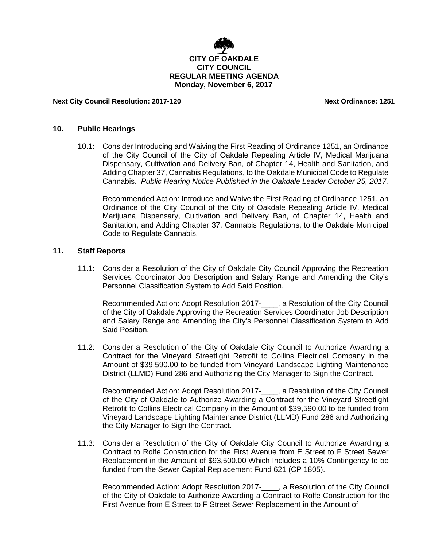

**Next City Council Resolution: 2017-120 Next Ordinance: 1251**

#### **10. Public Hearings**

10.1: Consider Introducing and Waiving the First Reading of Ordinance 1251, an Ordinance of the City Council of the City of Oakdale Repealing Article IV, Medical Marijuana Dispensary, Cultivation and Delivery Ban, of Chapter 14, Health and Sanitation, and Adding Chapter 37, Cannabis Regulations, to the Oakdale Municipal Code to Regulate Cannabis. *Public Hearing Notice Published in the Oakdale Leader October 25, 2017.*

Recommended Action: Introduce and Waive the First Reading of Ordinance 1251, an Ordinance of the City Council of the City of Oakdale Repealing Article IV, Medical Marijuana Dispensary, Cultivation and Delivery Ban, of Chapter 14, Health and Sanitation, and Adding Chapter 37, Cannabis Regulations, to the Oakdale Municipal Code to Regulate Cannabis.

## **11. Staff Reports**

11.1: Consider a Resolution of the City of Oakdale City Council Approving the Recreation Services Coordinator Job Description and Salary Range and Amending the City's Personnel Classification System to Add Said Position.

Recommended Action: Adopt Resolution 2017-\_\_\_\_, a Resolution of the City Council of the City of Oakdale Approving the Recreation Services Coordinator Job Description and Salary Range and Amending the City's Personnel Classification System to Add Said Position.

11.2: Consider a Resolution of the City of Oakdale City Council to Authorize Awarding a Contract for the Vineyard Streetlight Retrofit to Collins Electrical Company in the Amount of \$39,590.00 to be funded from Vineyard Landscape Lighting Maintenance District (LLMD) Fund 286 and Authorizing the City Manager to Sign the Contract.

Recommended Action: Adopt Resolution 2017-\_\_\_\_, a Resolution of the City Council of the City of Oakdale to Authorize Awarding a Contract for the Vineyard Streetlight Retrofit to Collins Electrical Company in the Amount of \$39,590.00 to be funded from Vineyard Landscape Lighting Maintenance District (LLMD) Fund 286 and Authorizing the City Manager to Sign the Contract.

11.3: Consider a Resolution of the City of Oakdale City Council to Authorize Awarding a Contract to Rolfe Construction for the First Avenue from E Street to F Street Sewer Replacement in the Amount of \$93,500.00 Which Includes a 10% Contingency to be funded from the Sewer Capital Replacement Fund 621 (CP 1805).

Recommended Action: Adopt Resolution 2017- , a Resolution of the City Council of the City of Oakdale to Authorize Awarding a Contract to Rolfe Construction for the First Avenue from E Street to F Street Sewer Replacement in the Amount of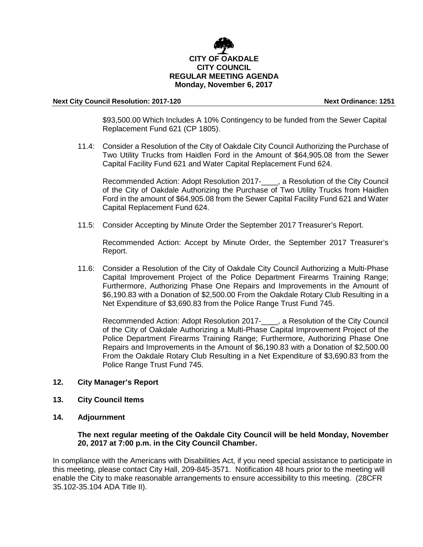

#### **Next City Council Resolution: 2017-120 Next Ordinance: 1251**

\$93,500.00 Which Includes A 10% Contingency to be funded from the Sewer Capital Replacement Fund 621 (CP 1805).

11.4: Consider a Resolution of the City of Oakdale City Council Authorizing the Purchase of Two Utility Trucks from Haidlen Ford in the Amount of \$64,905.08 from the Sewer Capital Facility Fund 621 and Water Capital Replacement Fund 624.

Recommended Action: Adopt Resolution 2017-\_\_\_\_, a Resolution of the City Council of the City of Oakdale Authorizing the Purchase of Two Utility Trucks from Haidlen Ford in the amount of \$64,905.08 from the Sewer Capital Facility Fund 621 and Water Capital Replacement Fund 624.

11.5: Consider Accepting by Minute Order the September 2017 Treasurer's Report.

Recommended Action: Accept by Minute Order, the September 2017 Treasurer's Report.

11.6: Consider a Resolution of the City of Oakdale City Council Authorizing a Multi-Phase Capital Improvement Project of the Police Department Firearms Training Range; Furthermore, Authorizing Phase One Repairs and Improvements in the Amount of \$6,190.83 with a Donation of \$2,500.00 From the Oakdale Rotary Club Resulting in a Net Expenditure of \$3,690.83 from the Police Range Trust Fund 745.

Recommended Action: Adopt Resolution 2017-\_\_\_\_, a Resolution of the City Council of the City of Oakdale Authorizing a Multi-Phase Capital Improvement Project of the Police Department Firearms Training Range; Furthermore, Authorizing Phase One Repairs and Improvements in the Amount of \$6,190.83 with a Donation of \$2,500.00 From the Oakdale Rotary Club Resulting in a Net Expenditure of \$3,690.83 from the Police Range Trust Fund 745.

- **12. City Manager's Report**
- **13. City Council Items**
- **14. Adjournment**

## **The next regular meeting of the Oakdale City Council will be held Monday, November 20, 2017 at 7:00 p.m. in the City Council Chamber.**

In compliance with the Americans with Disabilities Act, if you need special assistance to participate in this meeting, please contact City Hall, 209-845-3571. Notification 48 hours prior to the meeting will enable the City to make reasonable arrangements to ensure accessibility to this meeting. (28CFR 35.102-35.104 ADA Title II).